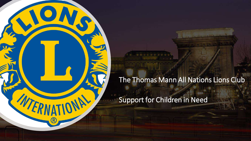

Support for Children in Need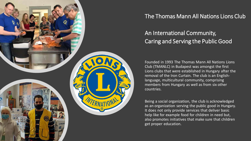

### An International Community, Caring and Serving the Public Good

Founded in 1993 The Thomas Mann All Nations Lions Club (TMANLC) in Budapest was amongst the first Lions clubs that were established in Hungary after the removal of the Iron Curtain. The club is an Englishlanguage, multicultural community, comprising members from Hungary as well as from six other countries.

Being a social organization, the club is acknowledged as an organization serving the public good in Hungary. It does not only provide services that deliver basic help like for example food for children in need but, also promotes initiatives that make sure that children get proper education.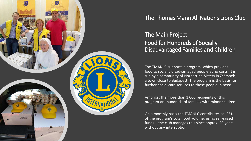

### The Main Project: Food for Hundreds of Socially Disadvantaged Families and Children

The TMANLC supports a program, which provides food to socially disadvantaged people at no costs. It is run by a community of Norbertine Sisters in Zsámbék, a town close to Budapest. The program is the basis for further social care services to those people in need.

Amongst the more than 1,000 recipients of this program are hundreds of families with minor children.

On a monthly basis the TMANLC contributes ca. 25% of the program's total food volume, using self-raised funds – the club manages this since approx. 20 years without any interruption.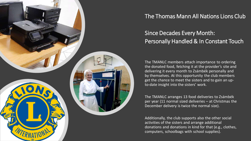

## Since Decades Every Month: Personally Handled & In Constant Touch

The TMANLC members attach importance to ordering the donated food, fetching it at the provider's site and delivering it every month to Zsámbék personally and by themselves. At this opportunity the club members get the chance to meet the sisters and to gain an upto-date insight into the sisters' work.

The TMANLC arranges 13 food deliveries to Zsámbék per year (11 normal sized deliveries – at Christmas the December delivery is twice the normal size).

Additionally, the club supports also the other social activities of the sisters and arrange additional donations and donations in kind for that (e.g., clothes, computers, schoolbags with school supplies).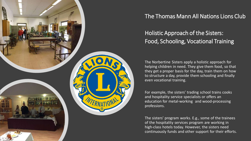

Holistic Approach of the Sisters: Food, Schooling, Vocational Training

The Norbertine Sisters apply a holistic approach for helping children in need. They give them food, so that they get a proper basis for the day, train them on how to structure a day, provide them schooling and finally even vocational training.

For example, the sisters' trading school trains cooks and hospitality service specialists or offers an education for metal-working and wood-processing professions.

The sisters' program works. E.g., some of the trainees of the hospitality services program are working in high-class hotels today. However, the sisters need continuously funds and other support for their efforts.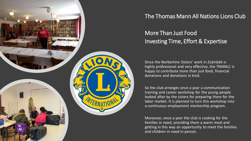

### More Than Just Food Investing Time, Effort & Expertise

Since the Norbertine Sisters' work in Zsámbék is highly professional and very effective, the TMANLC is happy to contribute more than just food, financial donations and donations in kind.

So the club arranges once a year a communication training and career workshop for the young people looked after by the sisters for preparing them for the labor market. It is planned to turn this workshop into a continuous employment mentorship program.

Moreover, once a year the club is cooking for the families in need, providing them a warm meal and getting in this way an opportunity to meet the families and children in need in person.